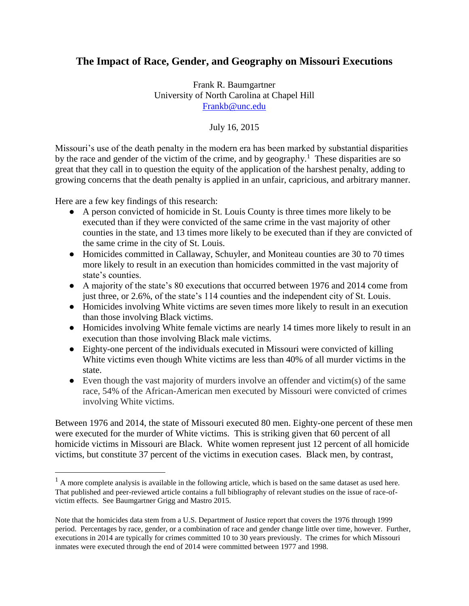# **The Impact of Race, Gender, and Geography on Missouri Executions**

Frank R. Baumgartner University of North Carolina at Chapel Hill [Frankb@unc.edu](mailto:Frankb@unc.edu)

July 16, 2015

Missouri's use of the death penalty in the modern era has been marked by substantial disparities by the race and gender of the victim of the crime, and by geography.<sup>1</sup> These disparities are so great that they call in to question the equity of the application of the harshest penalty, adding to growing concerns that the death penalty is applied in an unfair, capricious, and arbitrary manner.

Here are a few key findings of this research:

 $\overline{a}$ 

- A person convicted of homicide in St. Louis County is three times more likely to be executed than if they were convicted of the same crime in the vast majority of other counties in the state, and 13 times more likely to be executed than if they are convicted of the same crime in the city of St. Louis.
- Homicides committed in Callaway, Schuyler, and Moniteau counties are 30 to 70 times more likely to result in an execution than homicides committed in the vast majority of state's counties.
- A majority of the state's 80 executions that occurred between 1976 and 2014 come from just three, or 2.6%, of the state's 114 counties and the independent city of St. Louis.
- Homicides involving White victims are seven times more likely to result in an execution than those involving Black victims.
- Homicides involving White female victims are nearly 14 times more likely to result in an execution than those involving Black male victims.
- Eighty-one percent of the individuals executed in Missouri were convicted of killing White victims even though White victims are less than 40% of all murder victims in the state.
- $\bullet$  Even though the vast majority of murders involve an offender and victim(s) of the same race, 54% of the African-American men executed by Missouri were convicted of crimes involving White victims.

Between 1976 and 2014, the state of Missouri executed 80 men. Eighty-one percent of these men were executed for the murder of White victims. This is striking given that 60 percent of all homicide victims in Missouri are Black. White women represent just 12 percent of all homicide victims, but constitute 37 percent of the victims in execution cases. Black men, by contrast,

 $<sup>1</sup>$  A more complete analysis is available in the following article, which is based on the same dataset as used here.</sup> That published and peer-reviewed article contains a full bibliography of relevant studies on the issue of race-ofvictim effects. See Baumgartner Grigg and Mastro 2015.

Note that the homicides data stem from a U.S. Department of Justice report that covers the 1976 through 1999 period. Percentages by race, gender, or a combination of race and gender change little over time, however. Further, executions in 2014 are typically for crimes committed 10 to 30 years previously. The crimes for which Missouri inmates were executed through the end of 2014 were committed between 1977 and 1998.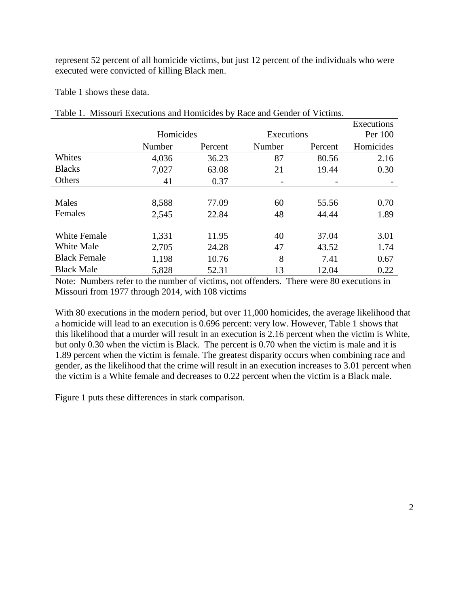represent 52 percent of all homicide victims, but just 12 percent of the individuals who were executed were convicted of killing Black men.

Table 1 shows these data.

|                     |           |         |            |                | Executions |
|---------------------|-----------|---------|------------|----------------|------------|
|                     | Homicides |         | Executions |                | Per 100    |
|                     | Number    | Percent | Number     | Percent        | Homicides  |
| Whites              | 4,036     | 36.23   | 87         | 80.56          | 2.16       |
| <b>Blacks</b>       | 7,027     | 63.08   | 21         | 19.44          | 0.30       |
| Others              | 41        | 0.37    |            | $\overline{a}$ |            |
|                     |           |         |            |                |            |
| Males               | 8,588     | 77.09   | 60         | 55.56          | 0.70       |
| Females             | 2,545     | 22.84   | 48         | 44.44          | 1.89       |
|                     |           |         |            |                |            |
| <b>White Female</b> | 1,331     | 11.95   | 40         | 37.04          | 3.01       |
| White Male          | 2,705     | 24.28   | 47         | 43.52          | 1.74       |
| <b>Black Female</b> | 1,198     | 10.76   | 8          | 7.41           | 0.67       |
| <b>Black Male</b>   | 5,828     | 52.31   | 13         | 12.04          | 0.22       |

Table 1. Missouri Executions and Homicides by Race and Gender of Victims.

Note: Numbers refer to the number of victims, not offenders. There were 80 executions in Missouri from 1977 through 2014, with 108 victims

With 80 executions in the modern period, but over 11,000 homicides, the average likelihood that a homicide will lead to an execution is 0.696 percent: very low. However, Table 1 shows that this likelihood that a murder will result in an execution is 2.16 percent when the victim is White, but only 0.30 when the victim is Black. The percent is 0.70 when the victim is male and it is 1.89 percent when the victim is female. The greatest disparity occurs when combining race and gender, as the likelihood that the crime will result in an execution increases to 3.01 percent when the victim is a White female and decreases to 0.22 percent when the victim is a Black male.

Figure 1 puts these differences in stark comparison.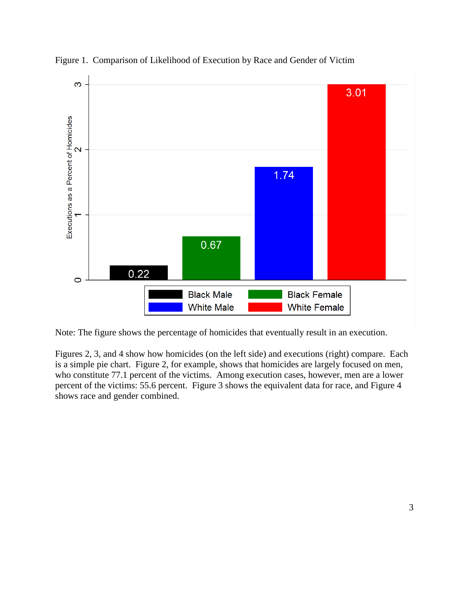

Figure 1. Comparison of Likelihood of Execution by Race and Gender of Victim

Note: The figure shows the percentage of homicides that eventually result in an execution.

Figures 2, 3, and 4 show how homicides (on the left side) and executions (right) compare. Each is a simple pie chart. Figure 2, for example, shows that homicides are largely focused on men, who constitute 77.1 percent of the victims. Among execution cases, however, men are a lower percent of the victims: 55.6 percent. Figure 3 shows the equivalent data for race, and Figure 4 shows race and gender combined.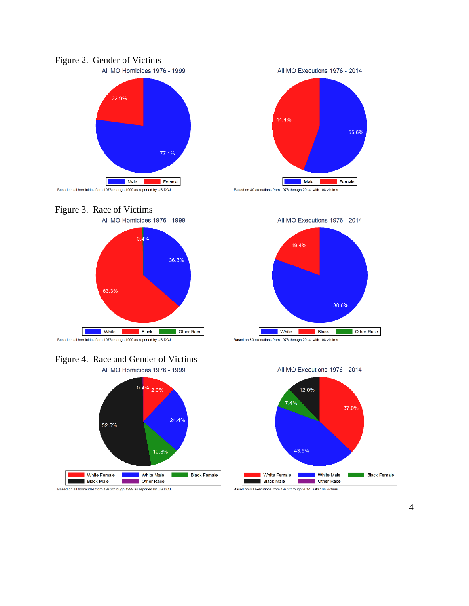









Based on all homicides from 1976 through 1999 as reported by US DOJ.

All MO Executions 1976 - 2014

All MO Executions 1976 - 2014







Based on 80 executions from 1976 through 2014, with 108 victims.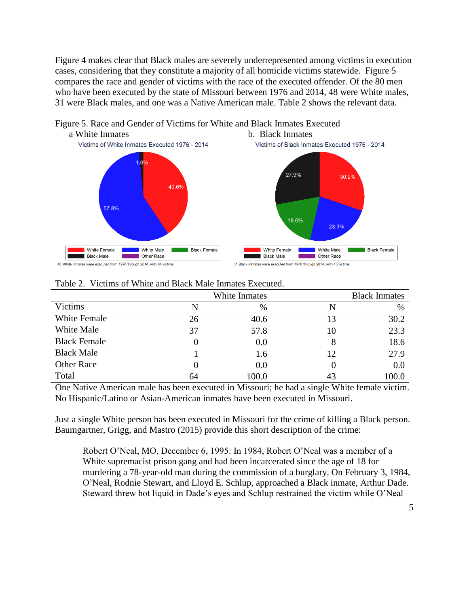Figure 4 makes clear that Black males are severely underrepresented among victims in execution cases, considering that they constitute a majority of all homicide victims statewide. Figure 5 compares the race and gender of victims with the race of the executed offender. Of the 80 men who have been executed by the state of Missouri between 1976 and 2014, 48 were White males, 31 were Black males, and one was a Native American male. Table 2 shows the relevant data.



# Figure 5. Race and Gender of Victims for White and Black Inmates Executed

|                     |          | White Inmates | <b>Black Inmates</b> |       |
|---------------------|----------|---------------|----------------------|-------|
| Victims             | N        | %             |                      | $\%$  |
| <b>White Female</b> | 26       | 40.6          | 13                   | 30.2  |
| White Male          | 37       | 57.8          | 10                   | 23.3  |
| <b>Black Female</b> | $\theta$ | 0.0           |                      | 18.6  |
| <b>Black Male</b>   |          | 1.6           | 12                   | 27.9  |
| <b>Other Race</b>   | 0        | 0.0           |                      | 0.0   |
| Total               | 64       | 100.0         | 43                   | 100.0 |

#### Table 2. Victims of White and Black Male Inmates Executed.

One Native American male has been executed in Missouri; he had a single White female victim. No Hispanic/Latino or Asian-American inmates have been executed in Missouri.

Just a single White person has been executed in Missouri for the crime of killing a Black person. Baumgartner, Grigg, and Mastro (2015) provide this short description of the crime:

Robert O'Neal, MO, December 6, 1995: In 1984, Robert O'Neal was a member of a White supremacist prison gang and had been incarcerated since the age of 18 for murdering a 78-year-old man during the commission of a burglary. On February 3, 1984, O'Neal, Rodnie Stewart, and Lloyd E. Schlup, approached a Black inmate, Arthur Dade. Steward threw hot liquid in Dade's eyes and Schlup restrained the victim while O'Neal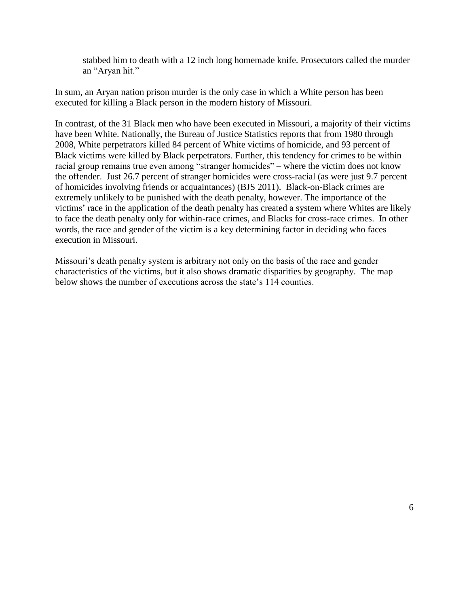stabbed him to death with a 12 inch long homemade knife. Prosecutors called the murder an "Aryan hit."

In sum, an Aryan nation prison murder is the only case in which a White person has been executed for killing a Black person in the modern history of Missouri.

In contrast, of the 31 Black men who have been executed in Missouri, a majority of their victims have been White. Nationally, the Bureau of Justice Statistics reports that from 1980 through 2008, White perpetrators killed 84 percent of White victims of homicide, and 93 percent of Black victims were killed by Black perpetrators. Further, this tendency for crimes to be within racial group remains true even among "stranger homicides" – where the victim does not know the offender. Just 26.7 percent of stranger homicides were cross-racial (as were just 9.7 percent of homicides involving friends or acquaintances) (BJS 2011). Black-on-Black crimes are extremely unlikely to be punished with the death penalty, however. The importance of the victims' race in the application of the death penalty has created a system where Whites are likely to face the death penalty only for within-race crimes, and Blacks for cross-race crimes. In other words, the race and gender of the victim is a key determining factor in deciding who faces execution in Missouri.

Missouri's death penalty system is arbitrary not only on the basis of the race and gender characteristics of the victims, but it also shows dramatic disparities by geography. The map below shows the number of executions across the state's 114 counties.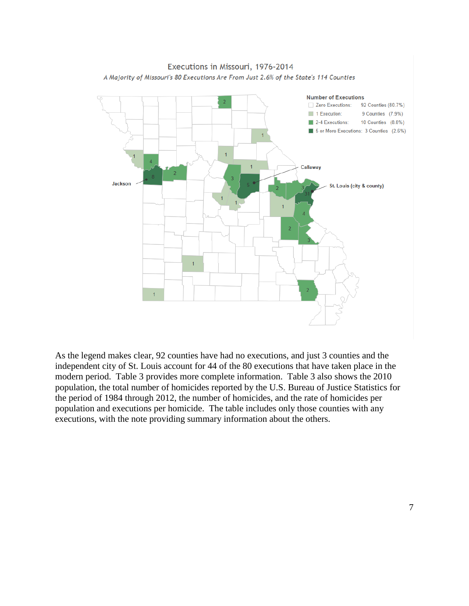

As the legend makes clear, 92 counties have had no executions, and just 3 counties and the independent city of St. Louis account for 44 of the 80 executions that have taken place in the modern period. Table 3 provides more complete information. Table 3 also shows the 2010 population, the total number of homicides reported by the U.S. Bureau of Justice Statistics for the period of 1984 through 2012, the number of homicides, and the rate of homicides per population and executions per homicide. The table includes only those counties with any executions, with the note providing summary information about the others.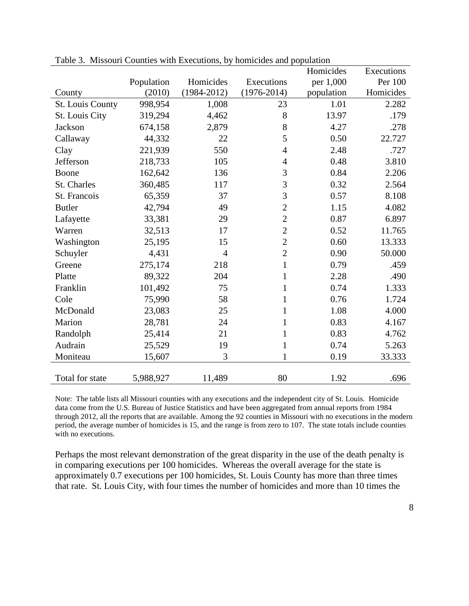|                  |            |                 |                 | Homicides  | Executions |
|------------------|------------|-----------------|-----------------|------------|------------|
|                  | Population | Homicides       | Executions      | per 1,000  | Per 100    |
| County           | (2010)     | $(1984 - 2012)$ | $(1976 - 2014)$ | population | Homicides  |
| St. Louis County | 998,954    | 1,008           | 23              | 1.01       | 2.282      |
| St. Louis City   | 319,294    | 4,462           | 8               | 13.97      | .179       |
| <b>Jackson</b>   | 674,158    | 2,879           | 8               | 4.27       | .278       |
| Callaway         | 44,332     | 22              | 5               | 0.50       | 22.727     |
| Clay             | 221,939    | 550             | $\overline{4}$  | 2.48       | .727       |
| Jefferson        | 218,733    | 105             | $\overline{4}$  | 0.48       | 3.810      |
| Boone            | 162,642    | 136             | 3               | 0.84       | 2.206      |
| St. Charles      | 360,485    | 117             | 3               | 0.32       | 2.564      |
| St. Francois     | 65,359     | 37              | 3               | 0.57       | 8.108      |
| <b>Butler</b>    | 42,794     | 49              | $\overline{2}$  | 1.15       | 4.082      |
| Lafayette        | 33,381     | 29              | $\overline{2}$  | 0.87       | 6.897      |
| Warren           | 32,513     | 17              | $\overline{2}$  | 0.52       | 11.765     |
| Washington       | 25,195     | 15              | $\overline{c}$  | 0.60       | 13.333     |
| Schuyler         | 4,431      | $\overline{4}$  | $\overline{2}$  | 0.90       | 50.000     |
| Greene           | 275,174    | 218             | $\mathbf{1}$    | 0.79       | .459       |
| Platte           | 89,322     | 204             | $\mathbf{1}$    | 2.28       | .490       |
| Franklin         | 101,492    | 75              | $\mathbf{1}$    | 0.74       | 1.333      |
| Cole             | 75,990     | 58              | 1               | 0.76       | 1.724      |
| McDonald         | 23,083     | 25              | $\mathbf{1}$    | 1.08       | 4.000      |
| Marion           | 28,781     | 24              | $\mathbf{1}$    | 0.83       | 4.167      |
| Randolph         | 25,414     | 21              | $\mathbf{1}$    | 0.83       | 4.762      |
| Audrain          | 25,529     | 19              | $\mathbf{1}$    | 0.74       | 5.263      |
| Moniteau         | 15,607     | 3               | 1               | 0.19       | 33.333     |
| Total for state  | 5,988,927  | 11,489          | 80              | 1.92       | .696       |

Table 3. Missouri Counties with Executions, by homicides and population

Note: The table lists all Missouri counties with any executions and the independent city of St. Louis. Homicide data come from the U.S. Bureau of Justice Statistics and have been aggregated from annual reports from 1984 through 2012, all the reports that are available. Among the 92 counties in Missouri with no executions in the modern period, the average number of homicides is 15, and the range is from zero to 107. The state totals include counties with no executions.

Perhaps the most relevant demonstration of the great disparity in the use of the death penalty is in comparing executions per 100 homicides. Whereas the overall average for the state is approximately 0.7 executions per 100 homicides, St. Louis County has more than three times that rate. St. Louis City, with four times the number of homicides and more than 10 times the